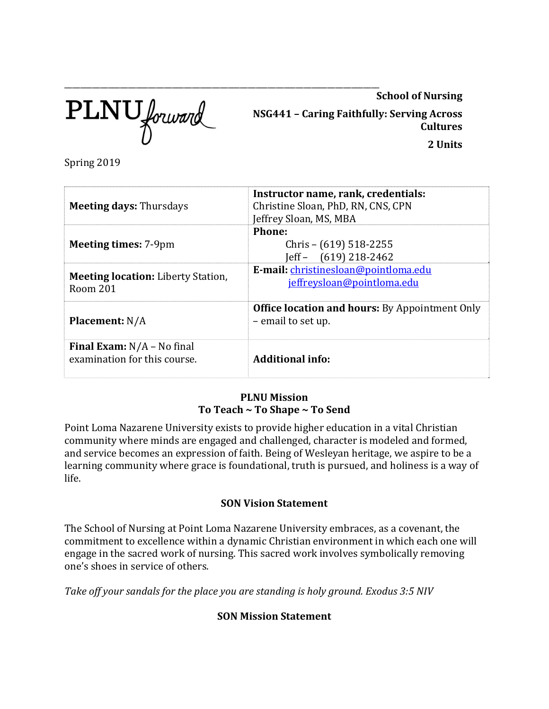PLNU forward

\_\_\_\_\_\_\_\_\_\_\_\_\_\_\_\_\_\_\_\_\_\_\_\_\_\_\_\_\_\_\_\_\_\_\_\_\_\_\_\_\_\_\_\_\_\_\_\_\_\_\_\_\_\_\_\_\_\_\_\_\_\_\_\_\_\_\_\_\_\_\_\_\_\_\_\_\_\_\_ 

**School of Nursing**

**NSG441 – Caring Faithfully: Serving Across Cultures 2 Units**

Spring 2019

| <b>Meeting days: Thursdays</b>                                      | Instructor name, rank, credentials:<br>Christine Sloan, PhD, RN, CNS, CPN<br>Jeffrey Sloan, MS, MBA |  |  |
|---------------------------------------------------------------------|-----------------------------------------------------------------------------------------------------|--|--|
| <b>Meeting times: 7-9pm</b>                                         | Phone:<br>Chris – $(619)$ 518-2255<br>$\text{left} - (619) 218 - 2462$                              |  |  |
| <b>Meeting location:</b> Liberty Station,<br>Room 201               | E-mail: christinesloan@pointloma.edu<br>jeffreysloan@pointloma.edu                                  |  |  |
| <b>Placement: N/A</b>                                               | <b>Office location and hours:</b> By Appointment Only<br>- email to set up.                         |  |  |
| <b>Final Exam:</b> $N/A$ – No final<br>examination for this course. | <b>Additional info:</b>                                                                             |  |  |

## **PLNU Mission To Teach ~ To Shape ~ To Send**

Point Loma Nazarene University exists to provide higher education in a vital Christian community where minds are engaged and challenged, character is modeled and formed, and service becomes an expression of faith. Being of Wesleyan heritage, we aspire to be a learning community where grace is foundational, truth is pursued, and holiness is a way of life. 

# **SON Vision Statement**

The School of Nursing at Point Loma Nazarene University embraces, as a covenant, the commitment to excellence within a dynamic Christian environment in which each one will engage in the sacred work of nursing. This sacred work involves symbolically removing one's shoes in service of others.

*Take off your sandals for the place you are standing is holy ground. Exodus 3:5 NIV*

# **SON Mission Statement**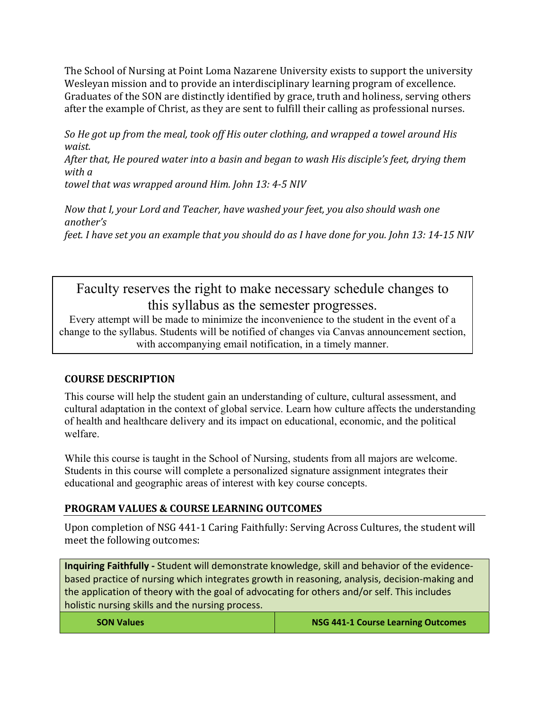The School of Nursing at Point Loma Nazarene University exists to support the university Wesleyan mission and to provide an interdisciplinary learning program of excellence. Graduates of the SON are distinctly identified by grace, truth and holiness, serving others after the example of Christ, as they are sent to fulfill their calling as professional nurses.

*So He got up from the meal, took off His outer clothing, and wrapped a towel around His waist.*

*After that, He poured water into a basin and began to wash His disciple's feet, drying them with a*

*towel that was wrapped around Him. John 13: 4‐5 NIV*

*Now that I, your Lord and Teacher, have washed your feet, you also should wash one another's* feet. I have set you an example that you should do as I have done for you. John 13: 14-15 NIV

# Faculty reserves the right to make necessary schedule changes to this syllabus as the semester progresses.

Every attempt will be made to minimize the inconvenience to the student in the event of a change to the syllabus. Students will be notified of changes via Canvas announcement section, with accompanying email notification, in a timely manner.

# **COURSE DESCRIPTION**

This course will help the student gain an understanding of culture, cultural assessment, and cultural adaptation in the context of global service. Learn how culture affects the understanding of health and healthcare delivery and its impact on educational, economic, and the political welfare.

While this course is taught in the School of Nursing, students from all majors are welcome. Students in this course will complete a personalized signature assignment integrates their educational and geographic areas of interest with key course concepts.

# **PROGRAM VALUES & COURSE LEARNING OUTCOMES**

Upon completion of NSG 441-1 Caring Faithfully: Serving Across Cultures, the student will meet the following outcomes:

**Inquiring Faithfully ‐** Student will demonstrate knowledge, skill and behavior of the evidence‐ based practice of nursing which integrates growth in reasoning, analysis, decision‐making and the application of theory with the goal of advocating for others and/or self. This includes holistic nursing skills and the nursing process.

| <b>SON Values</b> | <b>NSG 441-1 Course Learning Outcomes</b> |
|-------------------|-------------------------------------------|
|-------------------|-------------------------------------------|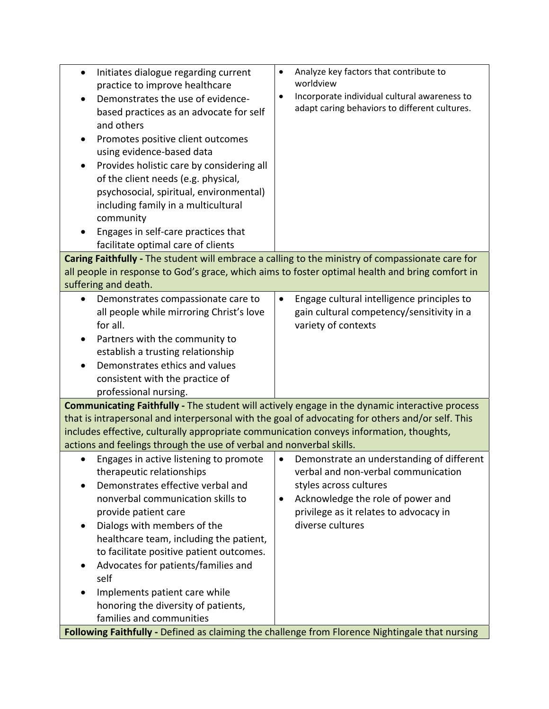| Initiates dialogue regarding current<br>$\bullet$<br>practice to improve healthcare<br>Demonstrates the use of evidence-<br>based practices as an advocate for self<br>and others<br>Promotes positive client outcomes<br>using evidence-based data<br>Provides holistic care by considering all<br>of the client needs (e.g. physical,<br>psychosocial, spiritual, environmental)<br>including family in a multicultural<br>community<br>Engages in self-care practices that<br>facilitate optimal care of clients | Analyze key factors that contribute to<br>$\bullet$<br>worldview<br>Incorporate individual cultural awareness to<br>٠<br>adapt caring behaviors to different cultures. |  |  |  |
|---------------------------------------------------------------------------------------------------------------------------------------------------------------------------------------------------------------------------------------------------------------------------------------------------------------------------------------------------------------------------------------------------------------------------------------------------------------------------------------------------------------------|------------------------------------------------------------------------------------------------------------------------------------------------------------------------|--|--|--|
| Caring Faithfully - The student will embrace a calling to the ministry of compassionate care for                                                                                                                                                                                                                                                                                                                                                                                                                    |                                                                                                                                                                        |  |  |  |
| all people in response to God's grace, which aims to foster optimal health and bring comfort in<br>suffering and death.                                                                                                                                                                                                                                                                                                                                                                                             |                                                                                                                                                                        |  |  |  |
| Demonstrates compassionate care to                                                                                                                                                                                                                                                                                                                                                                                                                                                                                  | Engage cultural intelligence principles to<br>$\bullet$                                                                                                                |  |  |  |
| all people while mirroring Christ's love                                                                                                                                                                                                                                                                                                                                                                                                                                                                            | gain cultural competency/sensitivity in a                                                                                                                              |  |  |  |
| for all.                                                                                                                                                                                                                                                                                                                                                                                                                                                                                                            | variety of contexts                                                                                                                                                    |  |  |  |
| Partners with the community to                                                                                                                                                                                                                                                                                                                                                                                                                                                                                      |                                                                                                                                                                        |  |  |  |
| establish a trusting relationship                                                                                                                                                                                                                                                                                                                                                                                                                                                                                   |                                                                                                                                                                        |  |  |  |
| Demonstrates ethics and values                                                                                                                                                                                                                                                                                                                                                                                                                                                                                      |                                                                                                                                                                        |  |  |  |
| consistent with the practice of                                                                                                                                                                                                                                                                                                                                                                                                                                                                                     |                                                                                                                                                                        |  |  |  |
| professional nursing.                                                                                                                                                                                                                                                                                                                                                                                                                                                                                               |                                                                                                                                                                        |  |  |  |
| Communicating Faithfully - The student will actively engage in the dynamic interactive process                                                                                                                                                                                                                                                                                                                                                                                                                      |                                                                                                                                                                        |  |  |  |
| that is intrapersonal and interpersonal with the goal of advocating for others and/or self. This                                                                                                                                                                                                                                                                                                                                                                                                                    |                                                                                                                                                                        |  |  |  |
| includes effective, culturally appropriate communication conveys information, thoughts,                                                                                                                                                                                                                                                                                                                                                                                                                             |                                                                                                                                                                        |  |  |  |
| actions and feelings through the use of verbal and nonverbal skills.                                                                                                                                                                                                                                                                                                                                                                                                                                                |                                                                                                                                                                        |  |  |  |
| Engages in active listening to promote<br>therapeutic relationships                                                                                                                                                                                                                                                                                                                                                                                                                                                 | Demonstrate an understanding of different<br>$\bullet$<br>verbal and non-verbal communication                                                                          |  |  |  |
| Demonstrates effective verbal and                                                                                                                                                                                                                                                                                                                                                                                                                                                                                   | styles across cultures                                                                                                                                                 |  |  |  |
| nonverbal communication skills to                                                                                                                                                                                                                                                                                                                                                                                                                                                                                   | Acknowledge the role of power and<br>٠                                                                                                                                 |  |  |  |
| provide patient care                                                                                                                                                                                                                                                                                                                                                                                                                                                                                                | privilege as it relates to advocacy in                                                                                                                                 |  |  |  |
| Dialogs with members of the                                                                                                                                                                                                                                                                                                                                                                                                                                                                                         | diverse cultures                                                                                                                                                       |  |  |  |
| healthcare team, including the patient,                                                                                                                                                                                                                                                                                                                                                                                                                                                                             |                                                                                                                                                                        |  |  |  |
| to facilitate positive patient outcomes.                                                                                                                                                                                                                                                                                                                                                                                                                                                                            |                                                                                                                                                                        |  |  |  |
| Advocates for patients/families and                                                                                                                                                                                                                                                                                                                                                                                                                                                                                 |                                                                                                                                                                        |  |  |  |
| self                                                                                                                                                                                                                                                                                                                                                                                                                                                                                                                |                                                                                                                                                                        |  |  |  |
| Implements patient care while                                                                                                                                                                                                                                                                                                                                                                                                                                                                                       |                                                                                                                                                                        |  |  |  |
| honoring the diversity of patients,                                                                                                                                                                                                                                                                                                                                                                                                                                                                                 |                                                                                                                                                                        |  |  |  |
| families and communities                                                                                                                                                                                                                                                                                                                                                                                                                                                                                            |                                                                                                                                                                        |  |  |  |
| Following Faithfully - Defined as claiming the challenge from Florence Nightingale that nursing                                                                                                                                                                                                                                                                                                                                                                                                                     |                                                                                                                                                                        |  |  |  |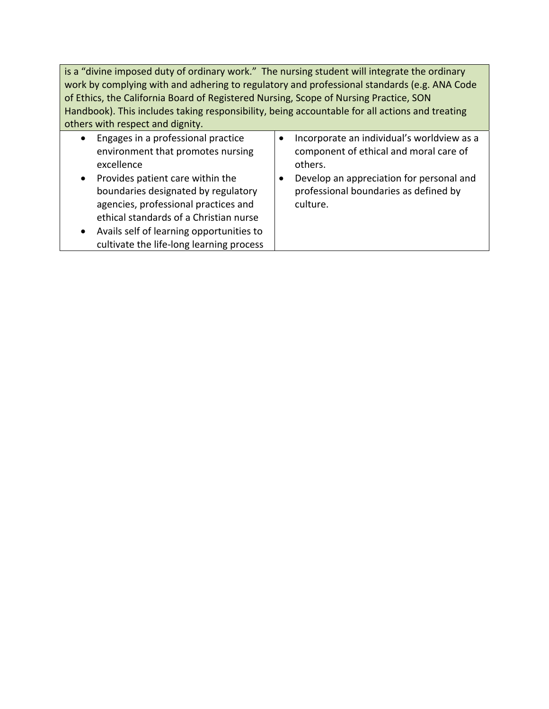is a "divine imposed duty of ordinary work." The nursing student will integrate the ordinary work by complying with and adhering to regulatory and professional standards (e.g. ANA Code of Ethics, the California Board of Registered Nursing, Scope of Nursing Practice, SON Handbook). This includes taking responsibility, being accountable for all actions and treating others with respect and dignity.

| $\bullet$ | Engages in a professional practice       | Incorporate an individual's worldview as a |
|-----------|------------------------------------------|--------------------------------------------|
|           | environment that promotes nursing        | component of ethical and moral care of     |
|           | excellence                               | others.                                    |
| $\bullet$ | Provides patient care within the         | Develop an appreciation for personal and   |
|           | boundaries designated by regulatory      | professional boundaries as defined by      |
|           | agencies, professional practices and     | culture.                                   |
|           | ethical standards of a Christian nurse   |                                            |
| $\bullet$ | Avails self of learning opportunities to |                                            |
|           | cultivate the life-long learning process |                                            |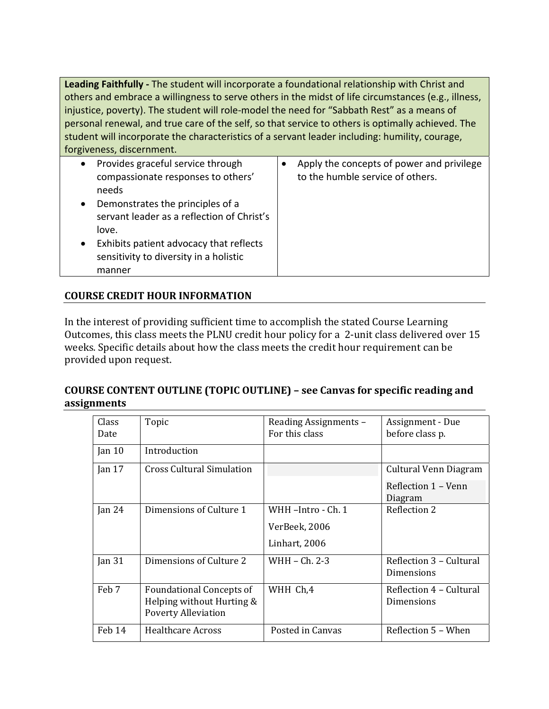Leading Faithfully - The student will incorporate a foundational relationship with Christ and others and embrace a willingness to serve others in the midst of life circumstances (e.g., illness, injustice, poverty). The student will role-model the need for "Sabbath Rest" as a means of personal renewal, and true care of the self, so that service to others is optimally achieved. The student will incorporate the characteristics of a servant leader including: humility, courage, forgiveness, discernment.

| $\bullet$ | Provides graceful service through<br>compassionate responses to others'<br>needs            | Apply the concepts of power and privilege<br>to the humble service of others. |
|-----------|---------------------------------------------------------------------------------------------|-------------------------------------------------------------------------------|
| $\bullet$ | Demonstrates the principles of a<br>servant leader as a reflection of Christ's<br>love.     |                                                                               |
| $\bullet$ | Exhibits patient advocacy that reflects<br>sensitivity to diversity in a holistic<br>manner |                                                                               |

# **COURSE CREDIT HOUR INFORMATION**

In the interest of providing sufficient time to accomplish the stated Course Learning Outcomes, this class meets the PLNU credit hour policy for a 2-unit class delivered over 15 weeks. Specific details about how the class meets the credit hour requirement can be provided upon request.

### **COURSE CONTENT OUTLINE (TOPIC OUTLINE) – see Canvas for specific reading and assignments**

| Class<br>Date     | Topic                                                                                      | Reading Assignments -<br>For this class | Assignment - Due<br>before class p.   |
|-------------------|--------------------------------------------------------------------------------------------|-----------------------------------------|---------------------------------------|
| Jan <sub>10</sub> | Introduction                                                                               |                                         |                                       |
| Jan $17$          | <b>Cross Cultural Simulation</b>                                                           |                                         | Cultural Venn Diagram                 |
|                   |                                                                                            |                                         | Reflection 1 - Venn<br>Diagram        |
| Jan $24$          | Dimensions of Culture 1                                                                    | WHH -Intro - Ch. 1                      | Reflection 2                          |
|                   |                                                                                            | VerBeek, 2006                           |                                       |
|                   |                                                                                            | Linhart, 2006                           |                                       |
| Jan $31$          | Dimensions of Culture 2                                                                    | WHH - Ch. 2-3                           | Reflection 3 – Cultural<br>Dimensions |
| Feb 7             | <b>Foundational Concepts of</b><br>Helping without Hurting &<br><b>Poverty Alleviation</b> | WHH Ch,4                                | Reflection 4 – Cultural<br>Dimensions |
| Feb 14            | <b>Healthcare Across</b>                                                                   | Posted in Canvas                        | Reflection 5 - When                   |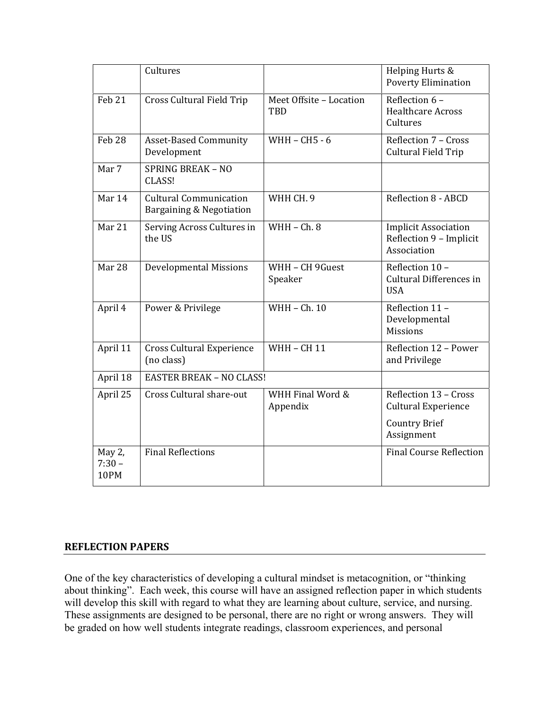|                            | Cultures                                                  |                                       | Helping Hurts &<br><b>Poverty Elimination</b>                         |
|----------------------------|-----------------------------------------------------------|---------------------------------------|-----------------------------------------------------------------------|
| Feb 21                     | <b>Cross Cultural Field Trip</b>                          | Meet Offsite - Location<br><b>TBD</b> | Reflection 6 -<br><b>Healthcare Across</b><br>Cultures                |
| Feb <sub>28</sub>          | <b>Asset-Based Community</b><br>Development               | WHH - CH5 - 6                         | Reflection 7 - Cross<br>Cultural Field Trip                           |
| Mar 7                      | <b>SPRING BREAK - NO</b><br>CLASS!                        |                                       |                                                                       |
| Mar 14                     | <b>Cultural Communication</b><br>Bargaining & Negotiation | WHH CH. 9                             | Reflection 8 - ABCD                                                   |
| Mar 21                     | Serving Across Cultures in<br>the US                      | $WHH - Ch. 8$                         | <b>Implicit Association</b><br>Reflection 9 - Implicit<br>Association |
| Mar 28                     | <b>Developmental Missions</b>                             | WHH - CH 9Guest<br>Speaker            | Reflection 10 -<br>Cultural Differences in<br><b>USA</b>              |
| April 4                    | Power & Privilege                                         | WHH - Ch. 10                          | Reflection 11 -<br>Developmental<br><b>Missions</b>                   |
| April 11                   | <b>Cross Cultural Experience</b><br>(no class)            | <b>WHH - CH 11</b>                    | Reflection 12 - Power<br>and Privilege                                |
| April 18                   | <b>EASTER BREAK - NO CLASS!</b>                           |                                       |                                                                       |
| April 25                   | Cross Cultural share-out                                  | WHH Final Word &<br>Appendix          | Reflection 13 - Cross<br><b>Cultural Experience</b>                   |
|                            |                                                           |                                       | <b>Country Brief</b><br>Assignment                                    |
| May 2,<br>$7:30 -$<br>10PM | <b>Final Reflections</b>                                  |                                       | <b>Final Course Reflection</b>                                        |

#### **REFLECTION PAPERS**

One of the key characteristics of developing a cultural mindset is metacognition, or "thinking about thinking". Each week, this course will have an assigned reflection paper in which students will develop this skill with regard to what they are learning about culture, service, and nursing. These assignments are designed to be personal, there are no right or wrong answers. They will be graded on how well students integrate readings, classroom experiences, and personal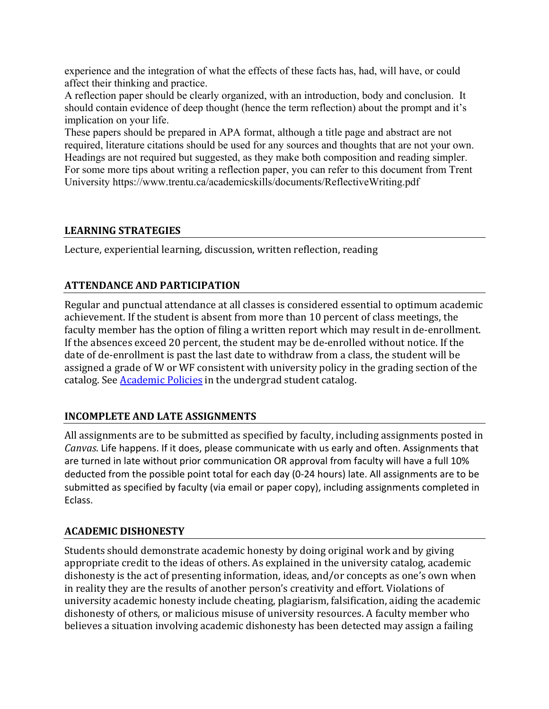experience and the integration of what the effects of these facts has, had, will have, or could affect their thinking and practice.

A reflection paper should be clearly organized, with an introduction, body and conclusion. It should contain evidence of deep thought (hence the term reflection) about the prompt and it's implication on your life.

These papers should be prepared in APA format, although a title page and abstract are not required, literature citations should be used for any sources and thoughts that are not your own. Headings are not required but suggested, as they make both composition and reading simpler. For some more tips about writing a reflection paper, you can refer to this document from Trent University https://www.trentu.ca/academicskills/documents/ReflectiveWriting.pdf

### **LEARNING STRATEGIES**

Lecture, experiential learning, discussion, written reflection, reading

# **ATTENDANCE AND PARTICIPATION**

Regular and punctual attendance at all classes is considered essential to optimum academic achievement. If the student is absent from more than 10 percent of class meetings, the faculty member has the option of filing a written report which may result in de-enrollment. If the absences exceed 20 percent, the student may be de-enrolled without notice. If the date of de-enrollment is past the last date to withdraw from a class, the student will be assigned a grade of W or WF consistent with university policy in the grading section of the catalog. See **Academic Policies** in the undergrad student catalog.

# **INCOMPLETE AND LATE ASSIGNMENTS**

All assignments are to be submitted as specified by faculty, including assignments posted in *Canvas*. Life happens. If it does, please communicate with us early and often. Assignments that are turned in late without prior communication OR approval from faculty will have a full 10% deducted from the possible point total for each day (0‐24 hours) late. All assignments are to be submitted as specified by faculty (via email or paper copy), including assignments completed in Eclass.

# **ACADEMIC DISHONESTY**

Students should demonstrate academic honesty by doing original work and by giving appropriate credit to the ideas of others. As explained in the university catalog, academic dishonesty is the act of presenting information, ideas, and/or concepts as one's own when in reality they are the results of another person's creativity and effort. Violations of university academic honesty include cheating, plagiarism, falsification, aiding the academic dishonesty of others, or malicious misuse of university resources. A faculty member who believes a situation involving academic dishonesty has been detected may assign a failing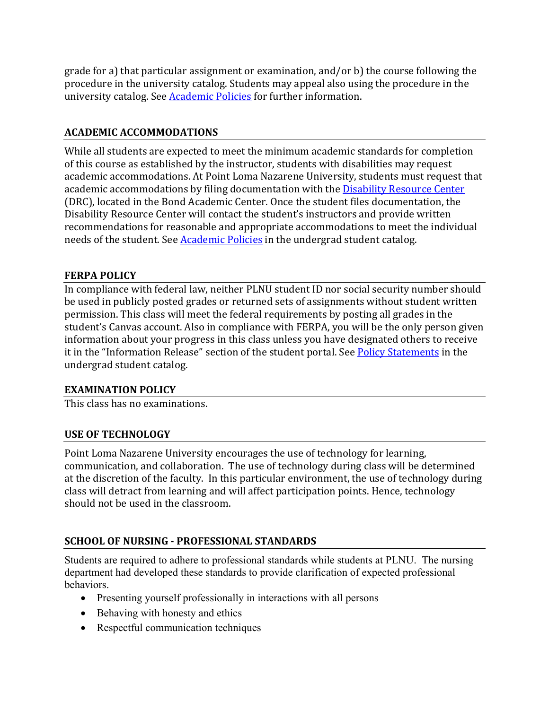grade for a) that particular assignment or examination, and/or  $b$ ) the course following the procedure in the university catalog. Students may appeal also using the procedure in the university catalog. See **Academic Policies** for further information.

## **ACADEMIC ACCOMMODATIONS**

While all students are expected to meet the minimum academic standards for completion of this course as established by the instructor, students with disabilities may request academic accommodations. At Point Loma Nazarene University, students must request that academic accommodations by filing documentation with the Disability Resource Center (DRC), located in the Bond Academic Center. Once the student files documentation, the Disability Resource Center will contact the student's instructors and provide written recommendations for reasonable and appropriate accommodations to meet the individual needs of the student. See Academic Policies in the undergrad student catalog.

### **FERPA POLICY**

In compliance with federal law, neither PLNU student ID nor social security number should be used in publicly posted grades or returned sets of assignments without student written permission. This class will meet the federal requirements by posting all grades in the student's Canvas account. Also in compliance with FERPA, you will be the only person given information about your progress in this class unless you have designated others to receive it in the "Information Release" section of the student portal. See Policy Statements in the undergrad student catalog.

### **EXAMINATION POLICY**

This class has no examinations.

### **USE OF TECHNOLOGY**

Point Loma Nazarene University encourages the use of technology for learning, communication, and collaboration. The use of technology during class will be determined at the discretion of the faculty. In this particular environment, the use of technology during class will detract from learning and will affect participation points. Hence, technology should not be used in the classroom.

### **SCHOOL OF NURSING ‐ PROFESSIONAL STANDARDS**

Students are required to adhere to professional standards while students at PLNU. The nursing department had developed these standards to provide clarification of expected professional behaviors.

- Presenting yourself professionally in interactions with all persons
- Behaving with honesty and ethics
- Respectful communication techniques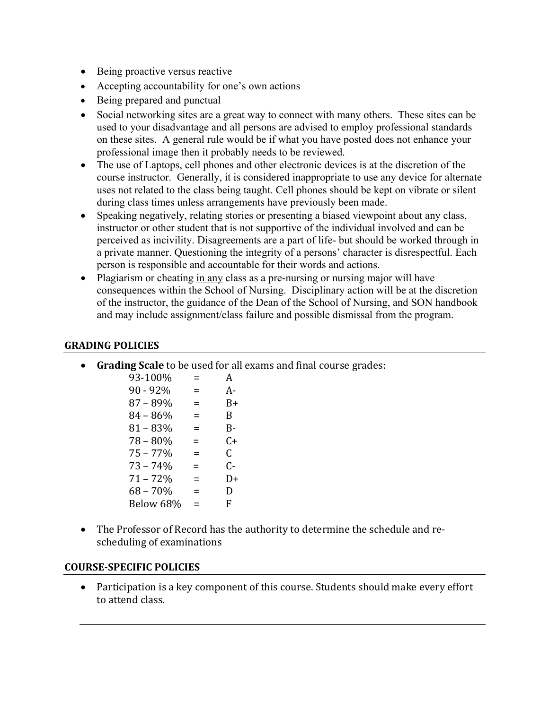- Being proactive versus reactive
- Accepting accountability for one's own actions
- Being prepared and punctual
- Social networking sites are a great way to connect with many others. These sites can be used to your disadvantage and all persons are advised to employ professional standards on these sites. A general rule would be if what you have posted does not enhance your professional image then it probably needs to be reviewed.
- The use of Laptops, cell phones and other electronic devices is at the discretion of the course instructor. Generally, it is considered inappropriate to use any device for alternate uses not related to the class being taught. Cell phones should be kept on vibrate or silent during class times unless arrangements have previously been made.
- Speaking negatively, relating stories or presenting a biased viewpoint about any class, instructor or other student that is not supportive of the individual involved and can be perceived as incivility. Disagreements are a part of life- but should be worked through in a private manner. Questioning the integrity of a persons' character is disrespectful. Each person is responsible and accountable for their words and actions.
- Plagiarism or cheating in any class as a pre-nursing or nursing major will have consequences within the School of Nursing. Disciplinary action will be at the discretion of the instructor, the guidance of the Dean of the School of Nursing, and SON handbook and may include assignment/class failure and possible dismissal from the program.

#### **GRADING POLICIES**

• **Grading Scale** to be used for all exams and final course grades:

| 93-100%     | Ξ   | А    |
|-------------|-----|------|
| $90 - 92%$  | $=$ | A-   |
| $87 - 89%$  | $=$ | B+   |
| $84 - 86%$  | =   | B    |
| $81 - 83%$  | $=$ | B-   |
| $78 - 80%$  | $=$ | $C+$ |
| $75 - 77\%$ | =   | C    |
| $73 - 74%$  | =   | $C-$ |
| 71 – 72%    | $=$ | D+   |
| $68 - 70%$  | $=$ | D    |
| Below 68%   | $=$ | F    |
|             |     |      |

• The Professor of Record has the authority to determine the schedule and rescheduling of examinations

#### **COURSE‐SPECIFIC POLICIES**

• Participation is a key component of this course. Students should make every effort to attend class.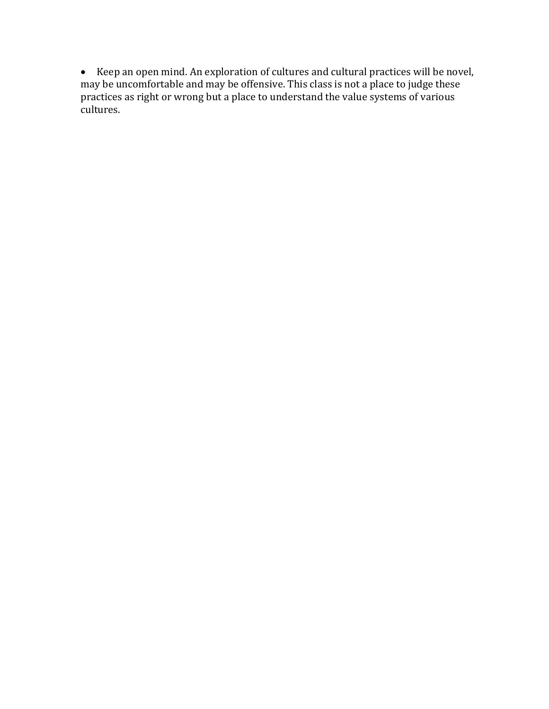• Keep an open mind. An exploration of cultures and cultural practices will be novel, may be uncomfortable and may be offensive. This class is not a place to judge these practices as right or wrong but a place to understand the value systems of various cultures.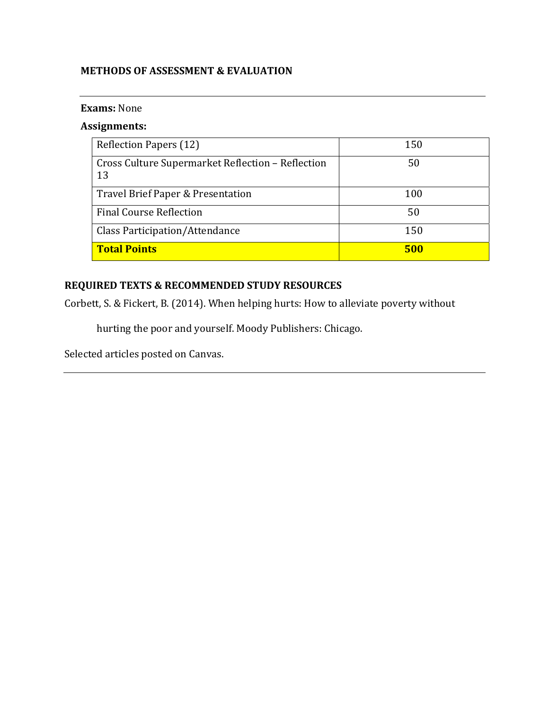## **METHODS OF ASSESSMENT & EVALUATION**

#### **Exams:** None

## **Assignments:**

| Reflection Papers (12)                                  | 150 |
|---------------------------------------------------------|-----|
| Cross Culture Supermarket Reflection - Reflection<br>13 | 50  |
| Travel Brief Paper & Presentation                       | 100 |
| <b>Final Course Reflection</b>                          | 50  |
| Class Participation/Attendance                          | 150 |
| <b>Total Points</b>                                     | 500 |

# **REQUIRED TEXTS & RECOMMENDED STUDY RESOURCES**

Corbett, S. & Fickert, B. (2014). When helping hurts: How to alleviate poverty without

hurting the poor and yourself. Moody Publishers: Chicago.

Selected articles posted on Canvas.